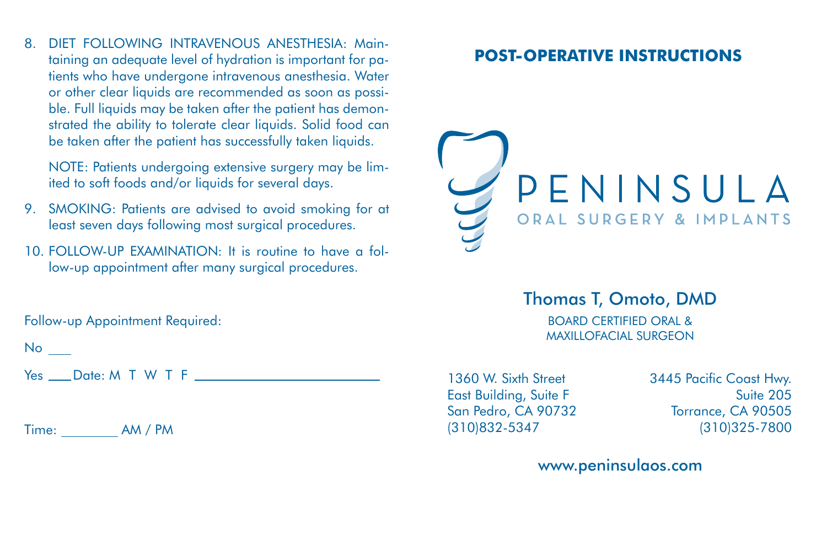8. DIET FOLLOWING INTRAVENOUS ANESTHESIA: Maintaining an adequate level of hydration is important for patients who have undergone intravenous anesthesia. Water or other clear liquids are recommended as soon as possible. Full liquids may be taken after the patient has demonstrated the ability to tolerate clear liquids. Solid food can be taken after the patient has successfully taken liquids.

NOTE: Patients undergoing extensive surgery may be limited to soft foods and/or liquids for several days.

- 9. SMOKING: Patients are advised to avoid smoking for at least seven days following most surgical procedures.
- 10. FOLLOW-UP EXAMINATION: It is routine to have a follow-up appointment after many surgical procedures.

Follow-up Appointment Required:

No

Yes Date: M T W T F

Time: AM / PM

## **POST-OPERATIVE INSTRUCTIONS**



## Thomas T, Omoto, DMD

BOARD CERTIFIED ORAL & MAXILLOFACIAL SURGEON

1360 W. Sixth Street 3445 Pacific Coast Hwy.

East Building, Suite F Suite 205 San Pedro, CA 90732 Torrance, CA 90505 (310)832-5347 (310)325-7800

www.peninsulaos.com